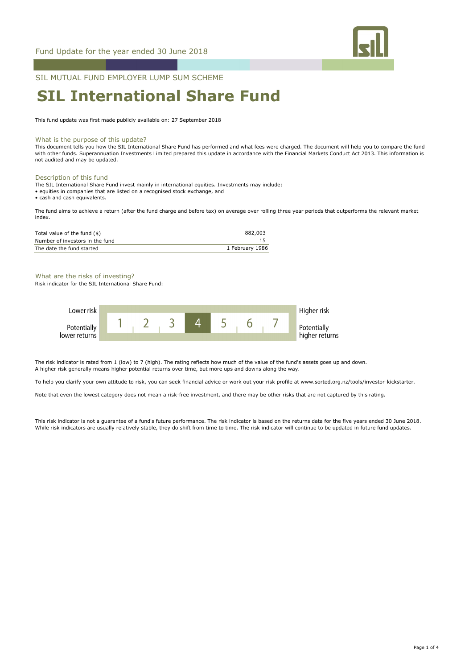

SIL MUTUAL FUND EMPLOYER LUMP SUM SCHEME

# **SIL International Share Fund**

This fund update was first made publicly available on: 27 September 2018

### What is the purpose of this update?

This document tells you how the SIL International Share Fund has performed and what fees were charged. The document will help you to compare the fund with other funds. Superannuation Investments Limited prepared this update in accordance with the Financial Markets Conduct Act 2013. This information is not audited and may be updated.

### Description of this fund

The SIL International Share Fund invest mainly in international equities. Investments may include:

• equities in companies that are listed on a recognised stock exchange, and

• cash and cash equivalents.

The fund aims to achieve a return (after the fund charge and before tax) on average over rolling three year periods that outperforms the relevant market index.

| Total value of the fund (\$)    | 882,003         |
|---------------------------------|-----------------|
| Number of investors in the fund |                 |
| The date the fund started       | 1 February 1986 |

### What are the risks of investing?

Risk indicator for the SIL International Share Fund:



The risk indicator is rated from 1 (low) to 7 (high). The rating reflects how much of the value of the fund's assets goes up and down. A higher risk generally means higher potential returns over time, but more ups and downs along the way.

To help you clarify your own attitude to risk, you can seek financial advice or work out your risk profile at www.sorted.org.nz/tools/investor-kickstarter.

Note that even the lowest category does not mean a risk-free investment, and there may be other risks that are not captured by this rating.

This risk indicator is not a guarantee of a fund's future performance. The risk indicator is based on the returns data for the five years ended 30 June 2018. While risk indicators are usually relatively stable, they do shift from time to time. The risk indicator will continue to be updated in future fund updates.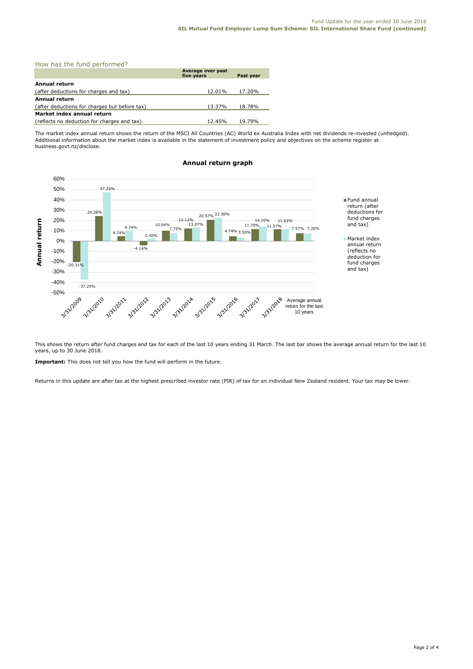| How has the fund performed?                   |                                 |           |  |  |
|-----------------------------------------------|---------------------------------|-----------|--|--|
|                                               | Average over past<br>five years | Past year |  |  |
| Annual return                                 |                                 |           |  |  |
| (after deductions for charges and tax)        | 12.01%                          | 17.20%    |  |  |
| <b>Annual return</b>                          |                                 |           |  |  |
| (after deductions for charges but before tax) | 13.37%                          | 18.78%    |  |  |
| Market index annual return                    |                                 |           |  |  |
| (reflects no deduction for charges and tax)   | 12.45%                          | 19.79%    |  |  |

The market index annual return shows the return of the MSCI All Countries (AC) World ex Australia Index with net dividends re-invested (unhedged). Additional information about the market index is available in the statement of investment policy and objectives on the scheme register at business.govt.nz/disclose.



# **Annual return graph**

This shows the return after fund charges and tax for each of the last 10 years ending 31 March. The last bar shows the average annual return for the last 10 years, up to 30 June 2018.

**Important:** This does not tell you how the fund will perform in the future.

Returns in this update are after tax at the highest prescribed investor rate (PIR) of tax for an individual New Zealand resident. Your tax may be lower.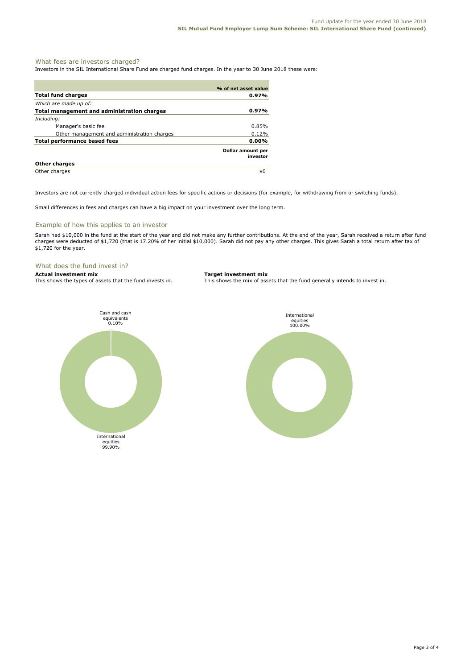## What fees are investors charged?

Investors in the SIL International Share Fund are charged fund charges. In the year to 30 June 2018 these were:

|                                             | % of net asset value          |
|---------------------------------------------|-------------------------------|
| <b>Total fund charges</b>                   | 0.97%                         |
| Which are made up of:                       |                               |
| Total management and administration charges | 0.97%                         |
| Including:                                  |                               |
| Manager's basic fee                         | $0.85\%$                      |
| Other management and administration charges | 0.12%                         |
| <b>Total performance based fees</b>         | 0.00%                         |
|                                             | Dollar amount per<br>investor |
| <b>Other charges</b>                        |                               |
| Other charges                               | \$0                           |

Investors are not currently charged individual action fees for specific actions or decisions (for example, for withdrawing from or switching funds).

Small differences in fees and charges can have a big impact on your investment over the long term.

### Example of how this applies to an investor

Sarah had \$10,000 in the fund at the start of the year and did not make any further contributions. At the end of the year, Sarah received a return after fund charges were deducted of \$1,720 (that is 17.20% of her initial \$10,000). Sarah did not pay any other charges. This gives Sarah a total return after tax of \$1,720 for the year.

# What does the fund invest in?<br>Actual investment mix

**Actual investment mix Target investment mix**

This shows the types of assets that the fund invests in. This shows the mix of assets that the fund generally intends to invest in.